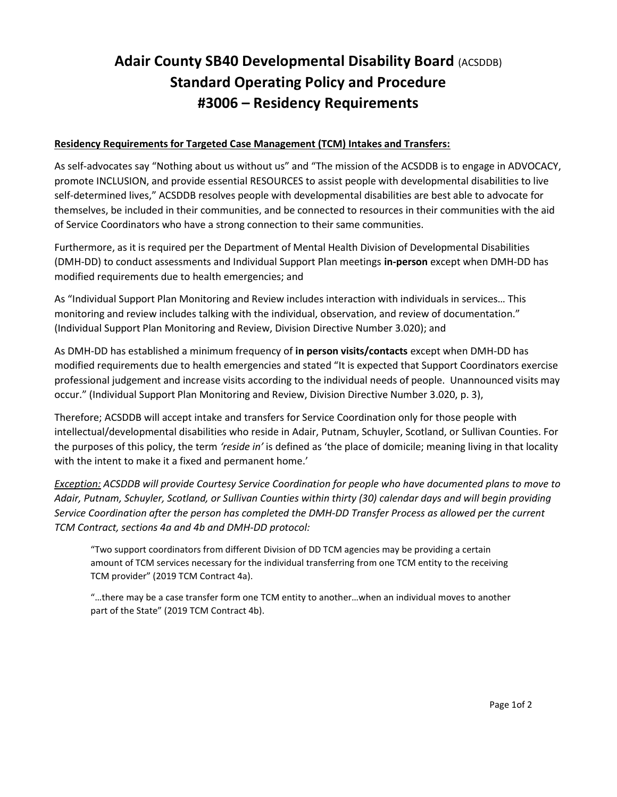## Adair County SB40 Developmental Disability Board (ACSDDB) Standard Operating Policy and Procedure #3006 – Residency Requirements

## Residency Requirements for Targeted Case Management (TCM) Intakes and Transfers:

As self-advocates say "Nothing about us without us" and "The mission of the ACSDDB is to engage in ADVOCACY, promote INCLUSION, and provide essential RESOURCES to assist people with developmental disabilities to live self-determined lives," ACSDDB resolves people with developmental disabilities are best able to advocate for themselves, be included in their communities, and be connected to resources in their communities with the aid of Service Coordinators who have a strong connection to their same communities.

Furthermore, as it is required per the Department of Mental Health Division of Developmental Disabilities (DMH-DD) to conduct assessments and Individual Support Plan meetings in-person except when DMH-DD has modified requirements due to health emergencies; and

As "Individual Support Plan Monitoring and Review includes interaction with individuals in services… This monitoring and review includes talking with the individual, observation, and review of documentation." (Individual Support Plan Monitoring and Review, Division Directive Number 3.020); and

As DMH-DD has established a minimum frequency of in person visits/contacts except when DMH-DD has modified requirements due to health emergencies and stated "It is expected that Support Coordinators exercise professional judgement and increase visits according to the individual needs of people. Unannounced visits may occur." (Individual Support Plan Monitoring and Review, Division Directive Number 3.020, p. 3),

Therefore; ACSDDB will accept intake and transfers for Service Coordination only for those people with intellectual/developmental disabilities who reside in Adair, Putnam, Schuyler, Scotland, or Sullivan Counties. For the purposes of this policy, the term 'reside in' is defined as 'the place of domicile; meaning living in that locality with the intent to make it a fixed and permanent home.'

**Exception:** ACSDDB will provide Courtesy Service Coordination for people who have documented plans to move to Adair, Putnam, Schuyler, Scotland, or Sullivan Counties within thirty (30) calendar days and will begin providing Service Coordination after the person has completed the DMH-DD Transfer Process as allowed per the current TCM Contract, sections 4a and 4b and DMH-DD protocol:

"Two support coordinators from different Division of DD TCM agencies may be providing a certain amount of TCM services necessary for the individual transferring from one TCM entity to the receiving TCM provider" (2019 TCM Contract 4a).

"…there may be a case transfer form one TCM entity to another…when an individual moves to another part of the State" (2019 TCM Contract 4b).